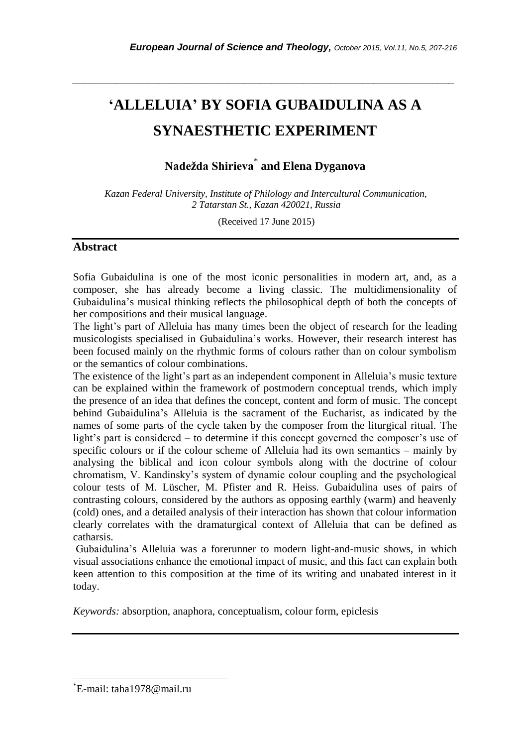# **'ALLELUIA' BY SOFIA GUBAIDULINA AS A SYNAESTHETIC EXPERIMENT**

*\_\_\_\_\_\_\_\_\_\_\_\_\_\_\_\_\_\_\_\_\_\_\_\_\_\_\_\_\_\_\_\_\_\_\_\_\_\_\_\_\_\_\_\_\_\_\_\_\_\_\_\_\_\_\_\_\_\_\_\_\_\_\_\_\_\_\_\_\_\_\_*

## **Nadežda Shirieva**\* **and Elena Dyganova**

*Kazan Federal University, Institute of Philology and Intercultural Communication, 2 Tatarstan St., Kazan 420021, Russia*

(Received 17 June 2015)

#### **Abstract**

Sofia Gubaidulina is one of the most iconic personalities in modern art, and, as a composer, she has already become a living classic. The multidimensionality of Gubaidulina"s musical thinking reflects the philosophical depth of both the concepts of her compositions and their musical language.

The light"s part of Alleluia has many times been the object of research for the leading musicologists specialised in Gubaidulina"s works. However, their research interest has been focused mainly on the rhythmic forms of colours rather than on colour symbolism or the semantics of colour combinations.

The existence of the light's part as an independent component in Alleluia's music texture can be explained within the framework of postmodern conceptual trends, which imply the presence of an idea that defines the concept, content and form of music. The concept behind Gubaidulina"s Alleluia is the sacrament of the Eucharist, as indicated by the names of some parts of the cycle taken by the composer from the liturgical ritual. The light's part is considered – to determine if this concept governed the composer's use of specific colours or if the colour scheme of Alleluia had its own semantics – mainly by analysing the biblical and icon colour symbols along with the doctrine of colour chromatism, V. Kandinsky"s system of dynamic colour coupling and the psychological colour tests of M. Lüscher, M. Pfister and R. Heiss. Gubaidulina uses of pairs of contrasting colours, considered by the authors as opposing earthly (warm) and heavenly (cold) ones, and a detailed analysis of their interaction has shown that colour information clearly correlates with the dramaturgical context of Alleluia that can be defined as catharsis.

Gubaidulina"s Alleluia was a forerunner to modern light-and-music shows, in which visual associations enhance the emotional impact of music, and this fact can explain both keen attention to this composition at the time of its writing and unabated interest in it today.

*Keywords:* absorption, anaphora, conceptualism, colour form, epiclesis

l

<sup>\*</sup>E-mail: taha1978@mail.ru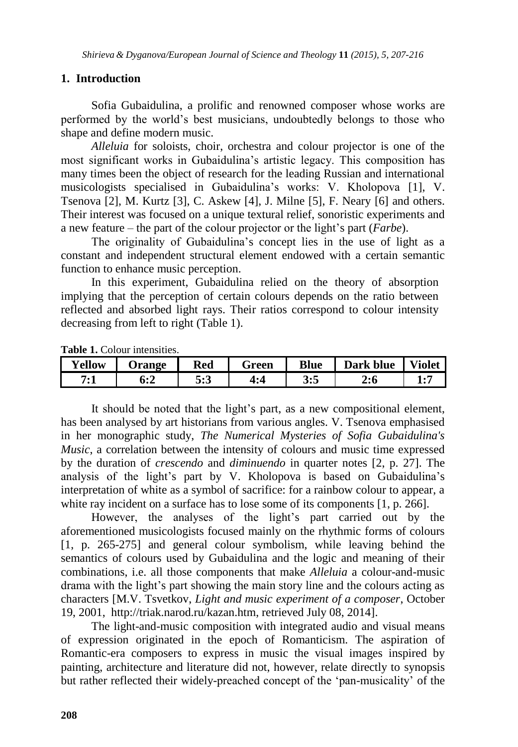## **1. Introduction**

Sofia Gubaidulina, a prolific and renowned composer whose works are performed by the world"s best musicians, undoubtedly belongs to those who shape and define modern music.

*Alleluia* for soloists, choir, orchestra and colour projector is one of the most significant works in Gubaidulina"s artistic legacy. This composition has many times been the object of research for the leading Russian and international musicologists specialised in Gubaidulina"s works: V. Kholopova [1], V. Tsenova [2], M. Kurtz [3], C. Askew [4], J. Milne [5], F. Neary [6] and others. Their interest was focused on a unique textural relief, sonoristic experiments and a new feature – the part of the colour projector or the light"s part (*Farbe*).

The originality of Gubaidulina's concept lies in the use of light as a constant and independent structural element endowed with a certain semantic function to enhance music perception.

In this experiment, Gubaidulina relied on the theory of absorption implying that the perception of certain colours depends on the ratio between reflected and absorbed light rays. Their ratios correspond to colour intensity decreasing from left to right (Table 1).

| Yellow | Jrange | Red | reen | <b>Blue</b> | <b>Dark blue</b> | <b>Violet</b> |
|--------|--------|-----|------|-------------|------------------|---------------|
| 7∙     | D:4    | 5:3 | ⁄ ∙∠ | ບ•ບ         | 4:0              |               |

**Table 1.** Colour intensities.

It should be noted that the light's part, as a new compositional element, has been analysed by art historians from various angles. V. Tsenova emphasised in her monographic study, *The Numerical Mysteries of Sofia Gubaidulina's Music*, a correlation between the intensity of colours and music time expressed by the duration of *crescendo* and *diminuendo* in quarter notes [2, p. 27]. The analysis of the light's part by V. Kholopova is based on Gubaidulina's interpretation of white as a symbol of sacrifice: for a rainbow colour to appear, a white ray incident on a surface has to lose some of its components [1, p. 266].

However, the analyses of the light's part carried out by the aforementioned musicologists focused mainly on the rhythmic forms of colours [1, p. 265-275] and general colour symbolism, while leaving behind the semantics of colours used by Gubaidulina and the logic and meaning of their combinations, i.e. all those components that make *Alleluia* a colour-and-music drama with the light"s part showing the main story line and the colours acting as characters [M.V. Tsvetkov, *Light and music experiment of a composer*, October 19, 2001, http://triak.narod.ru/kazan.htm, retrieved July 08, 2014].

The light-and-music composition with integrated audio and visual means of expression originated in the epoch of Romanticism. The aspiration of Romantic-era composers to express in music the visual images inspired by painting, architecture and literature did not, however, relate directly to synopsis but rather reflected their widely-preached concept of the "pan-musicality" of the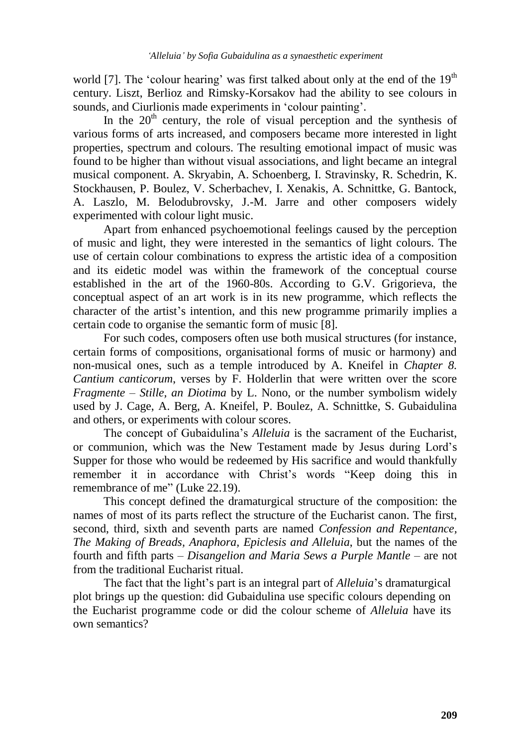world [7]. The 'colour hearing' was first talked about only at the end of the  $19<sup>th</sup>$ century. Liszt, Berlioz and Rimsky-Korsakov had the ability to see colours in sounds, and Ciurlionis made experiments in 'colour painting'.

In the  $20<sup>th</sup>$  century, the role of visual perception and the synthesis of various forms of arts increased, and composers became more interested in light properties, spectrum and colours. The resulting emotional impact of music was found to be higher than without visual associations, and light became an integral musical component. A. Skryabin, A. Schoenberg, I. Stravinsky, R. Schedrin, K. Stockhausen, P. Boulez, V. Scherbachev, I. Xenakis, A. Schnittke, G. Bantock, A. Laszlo, M. Belodubrovsky, J.-M. Jarre and other composers widely experimented with colour light music.

Apart from enhanced psychoemotional feelings caused by the perception of music and light, they were interested in the semantics of light colours. The use of certain colour combinations to express the artistic idea of a composition and its eidetic model was within the framework of the conceptual course established in the art of the 1960-80s. According to G.V. Grigorieva, the conceptual aspect of an art work is in its new programme, which reflects the character of the artist's intention, and this new programme primarily implies a certain code to organise the semantic form of music [8].

For such codes, composers often use both musical structures (for instance, certain forms of compositions, organisational forms of music or harmony) and non-musical ones, such as a temple introduced by A. Kneifel in *Chapter 8. Cantium canticorum*, verses by F. Holderlin that were written over the score *Fragmente – Stille, an Diotima* by L. Nono, or the number symbolism widely used by J. Cage, A. Berg, A. Kneifel, P. Boulez, A. Schnittke, S. Gubaidulina and others, or experiments with colour scores.

The concept of Gubaidulina"s *Alleluia* is the sacrament of the Eucharist, or communion, which was the New Testament made by Jesus during Lord"s Supper for those who would be redeemed by His sacrifice and would thankfully remember it in accordance with Christ"s words "Keep doing this in remembrance of me" (Luke 22.19).

This concept defined the dramaturgical structure of the composition: the names of most of its parts reflect the structure of the Eucharist canon. The first, second, third, sixth and seventh parts are named *Confession and Repentance, The Making of Breads, Anaphora, Epiclesis and Alleluia*, but the names of the fourth and fifth parts – *Disangelion and Maria Sews a Purple Mantle* – are not from the traditional Eucharist ritual.

The fact that the light"s part is an integral part of *Alleluia*"s dramaturgical plot brings up the question: did Gubaidulina use specific colours depending on the Eucharist programme code or did the colour scheme of *Alleluia* have its own semantics?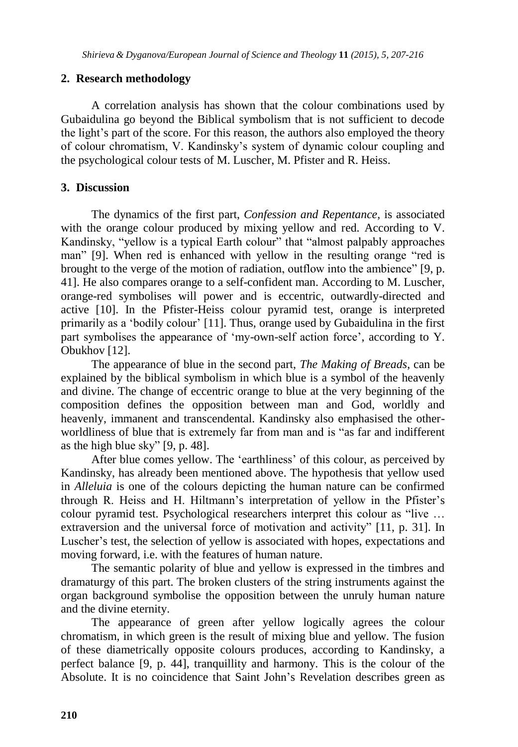## **2. Research methodology**

A correlation analysis has shown that the colour combinations used by Gubaidulina go beyond the Biblical symbolism that is not sufficient to decode the light"s part of the score. For this reason, the authors also employed the theory of colour chromatism, V. Kandinsky"s system of dynamic colour coupling and the psychological colour tests of M. Luscher, M. Pfister and R. Heiss.

## **3. Discussion**

The dynamics of the first part, *Confession and Repentance*, is associated with the orange colour produced by mixing yellow and red. According to V. Kandinsky, "yellow is a typical Earth colour" that "almost palpably approaches man" [9]. When red is enhanced with yellow in the resulting orange "red is brought to the verge of the motion of radiation, outflow into the ambience" [9, p. 41]. He also compares orange to a self-confident man. According to M. Luscher, orange-red symbolises will power and is eccentric, outwardly-directed and active [10]. In the Pfister-Heiss colour pyramid test, orange is interpreted primarily as a "bodily colour" [11]. Thus, orange used by Gubaidulina in the first part symbolises the appearance of 'my-own-self action force', according to Y. Obukhov [12].

The appearance of blue in the second part, *The Making of Breads*, can be explained by the biblical symbolism in which blue is a symbol of the heavenly and divine. The change of eccentric orange to blue at the very beginning of the composition defines the opposition between man and God, worldly and heavenly, immanent and transcendental. Kandinsky also emphasised the otherworldliness of blue that is extremely far from man and is "as far and indifferent as the high blue sky" [9, p. 48].

After blue comes yellow. The 'earthliness' of this colour, as perceived by Kandinsky, has already been mentioned above. The hypothesis that yellow used in *Alleluia* is one of the colours depicting the human nature can be confirmed through R. Heiss and H. Hiltmann"s interpretation of yellow in the Pfister"s colour pyramid test. Psychological researchers interpret this colour as "live … extraversion and the universal force of motivation and activity" [11, p. 31]. In Luscher"s test, the selection of yellow is associated with hopes, expectations and moving forward, i.e. with the features of human nature.

The semantic polarity of blue and yellow is expressed in the timbres and dramaturgy of this part. The broken clusters of the string instruments against the organ background symbolise the opposition between the unruly human nature and the divine eternity.

The appearance of green after yellow logically agrees the colour chromatism, in which green is the result of mixing blue and yellow. The fusion of these diametrically opposite colours produces, according to Kandinsky, a perfect balance [9, p. 44], tranquillity and harmony. This is the colour of the Absolute. It is no coincidence that Saint John"s Revelation describes green as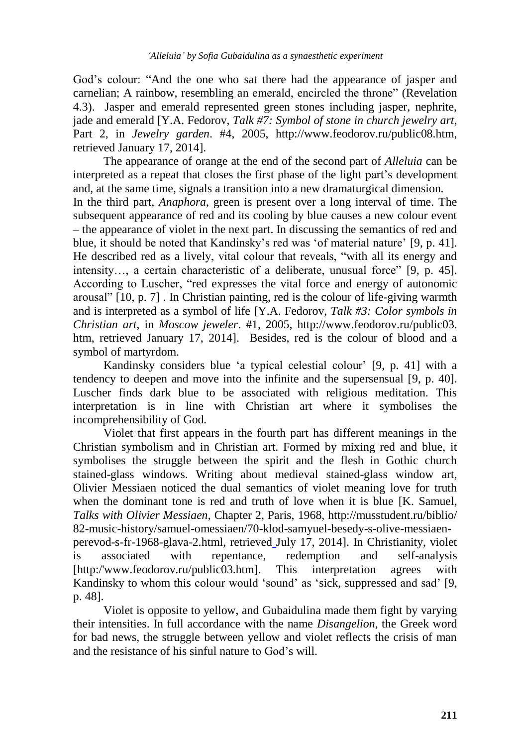God"s colour: "And the one who sat there had the appearance of jasper and carnelian; A rainbow, resembling an emerald, encircled the throne" (Revelation 4.3). Jasper and emerald represented green stones including jasper, nephrite, jade and emerald [Y.A. Fedorov, *Talk #7: Symbol of stone in church jewelry art*, Part 2, in *Jewelry garden*. #4, 2005, http://www.feodorov.ru/public08.htm, retrieved January 17, 2014].

The appearance of orange at the end of the second part of *Alleluia* can be interpreted as a repeat that closes the first phase of the light part"s development and, at the same time, signals a transition into a new dramaturgical dimension. In the third part, *Anaphora*, green is present over a long interval of time. The subsequent appearance of red and its cooling by blue causes a new colour event – the appearance of violet in the next part. In discussing the semantics of red and blue, it should be noted that Kandinsky"s red was "of material nature" [9, p. 41]. He described red as a lively, vital colour that reveals, "with all its energy and intensity…, a certain characteristic of a deliberate, unusual force" [9, p. 45]. According to Luscher, "red expresses the vital force and energy of autonomic arousal" [10, p. 7] . In Christian painting, red is the colour of life-giving warmth and is interpreted as a symbol of life [Y.A. Fedorov, *Talk #3: Color symbols in Christian art*, in *Moscow jeweler*. #1, 2005, http:/[/www.feodorov.ru/public03.](http://www.feodorov.ru/public03.htm) [htm,](http://www.feodorov.ru/public03.htm) retrieved January 17, 2014]. Besides, red is the colour of blood and a symbol of martyrdom.

Kandinsky considers blue "a typical celestial colour" [9, p. 41] with a tendency to deepen and move into the infinite and the supersensual [9, p. 40]. Luscher finds dark blue to be associated with religious meditation. This interpretation is in line with Christian art where it symbolises the incomprehensibility of God.

Violet that first appears in the fourth part has different meanings in the Christian symbolism and in Christian art. Formed by mixing red and blue, it symbolises the struggle between the spirit and the flesh in Gothic church stained-glass windows. Writing about medieval stained-glass window art, Olivier Messiaen noticed the dual semantics of violet meaning love for truth when the dominant tone is red and truth of love when it is blue [K. Samuel, *Talks with Olivier Messiaen*, Chapter 2, Paris, 1968, http://musstudent.ru/biblio/ 82-music-history/samuel-omessiaen/70-klod-samyuel-besedy-s-olive-messiaenperevod-s-fr-1968-glava-2.html, retrieved July 17, 2014]. In Christianity, violet is associated with repentance, redemption and self-analysis [http:/'www.feodorov.ru/public03.htm]. This interpretation agrees with Kandinsky to whom this colour would 'sound' as 'sick, suppressed and sad' [9, p. 48].

Violet is opposite to yellow, and Gubaidulina made them fight by varying their intensities. In full accordance with the name *Disangelion*, the Greek word for bad news, the struggle between yellow and violet reflects the crisis of man and the resistance of his sinful nature to God"s will.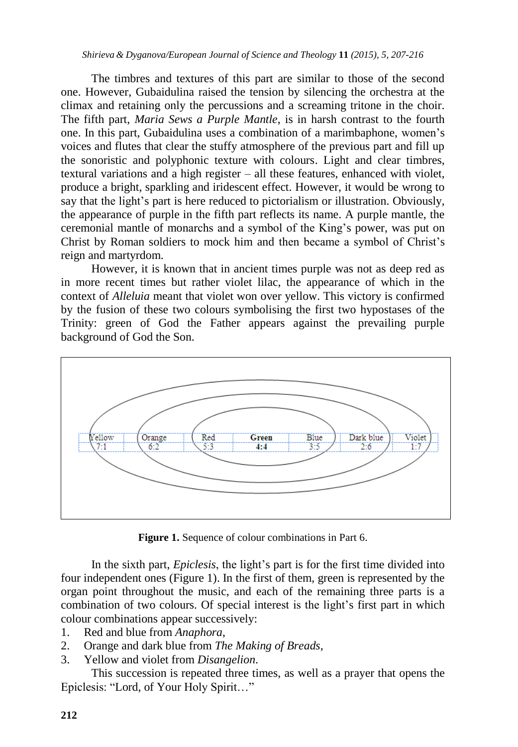#### *Shirieva & Dyganova/European Journal of Science and Theology* **11** *(2015), 5, 207-216*

The timbres and textures of this part are similar to those of the second one. However, Gubaidulina raised the tension by silencing the orchestra at the climax and retaining only the percussions and a screaming tritone in the choir. The fifth part, *Maria Sews a Purple Mantle*, is in harsh contrast to the fourth one. In this part, Gubaidulina uses a combination of a marimbaphone, women"s voices and flutes that clear the stuffy atmosphere of the previous part and fill up the sonoristic and polyphonic texture with colours. Light and clear timbres, textural variations and a high register – all these features, enhanced with violet, produce a bright, sparkling and iridescent effect. However, it would be wrong to say that the light's part is here reduced to pictorialism or illustration. Obviously, the appearance of purple in the fifth part reflects its name. A purple mantle, the ceremonial mantle of monarchs and a symbol of the King"s power, was put on Christ by Roman soldiers to mock him and then became a symbol of Christ"s reign and martyrdom.

However, it is known that in ancient times purple was not as deep red as in more recent times but rather violet lilac, the appearance of which in the context of *Alleluia* meant that violet won over yellow. This victory is confirmed by the fusion of these two colours symbolising the first two hypostases of the Trinity: green of God the Father appears against the prevailing purple background of God the Son.



**Figure 1.** Sequence of colour combinations in Part 6.

In the sixth part, *Epiclesis*, the light's part is for the first time divided into four independent ones (Figure 1). In the first of them, green is represented by the organ point throughout the music, and each of the remaining three parts is a combination of two colours. Of special interest is the light"s first part in which colour combinations appear successively:

- 1. Red and blue from *Anaphora*,
- 2. Orange and dark blue from *The Making of Breads*,
- 3. Yellow and violet from *Disangelion*.

This succession is repeated three times, as well as a prayer that opens the Epiclesis: "Lord, of Your Holy Spirit…"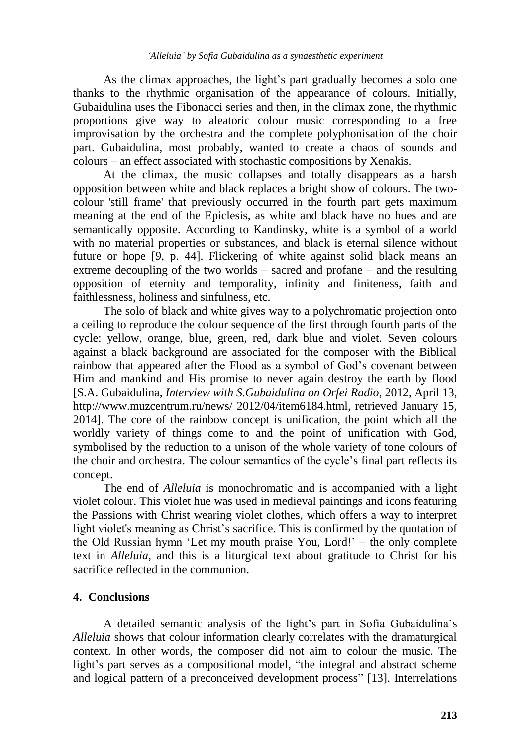As the climax approaches, the light's part gradually becomes a solo one thanks to the rhythmic organisation of the appearance of colours. Initially, Gubaidulina uses the Fibonacci series and then, in the climax zone, the rhythmic proportions give way to aleatoric colour music corresponding to a free improvisation by the orchestra and the complete polyphonisation of the choir part. Gubaidulina, most probably, wanted to create a chaos of sounds and colours – an effect associated with stochastic compositions by Xenakis.

At the climax, the music collapses and totally disappears as a harsh opposition between white and black replaces a bright show of colours. The twocolour 'still frame' that previously occurred in the fourth part gets maximum meaning at the end of the Epiclesis, as white and black have no hues and are semantically opposite. According to Kandinsky, white is a symbol of a world with no material properties or substances, and black is eternal silence without future or hope [9, p. 44]. Flickering of white against solid black means an extreme decoupling of the two worlds – sacred and profane – and the resulting opposition of eternity and temporality, infinity and finiteness, faith and faithlessness, holiness and sinfulness, etc.

The solo of black and white gives way to a polychromatic projection onto a ceiling to reproduce the colour sequence of the first through fourth parts of the cycle: yellow, orange, blue, green, red, dark blue and violet. Seven colours against a black background are associated for the composer with the Biblical rainbow that appeared after the Flood as a symbol of God"s covenant between Him and mankind and His promise to never again destroy the earth by flood [S.A. Gubaidulina, *Interview with S.Gubaidulina on Orfei Radio*, 2012, April 13, http://www.muzcentrum.ru/news/ 2012/04/item6184.html, retrieved January 15, 2014]. The core of the rainbow concept is unification, the point which all the worldly variety of things come to and the point of unification with God, symbolised by the reduction to a unison of the whole variety of tone colours of the choir and orchestra. The colour semantics of the cycle"s final part reflects its concept.

The end of *Alleluia* is monochromatic and is accompanied with a light violet colour. This violet hue was used in medieval paintings and icons featuring the Passions with Christ wearing violet clothes, which offers a way to interpret light violet's meaning as Christ's sacrifice. This is confirmed by the quotation of the Old Russian hymn "Let my mouth praise You, Lord!" – the only complete text in *Alleluia*, and this is a liturgical text about gratitude to Christ for his sacrifice reflected in the communion.

### **4. Conclusions**

A detailed semantic analysis of the light"s part in Sofia Gubaidulina"s *Alleluia* shows that colour information clearly correlates with the dramaturgical context. In other words, the composer did not aim to colour the music. The light's part serves as a compositional model, "the integral and abstract scheme and logical pattern of a preconceived development process" [13]. Interrelations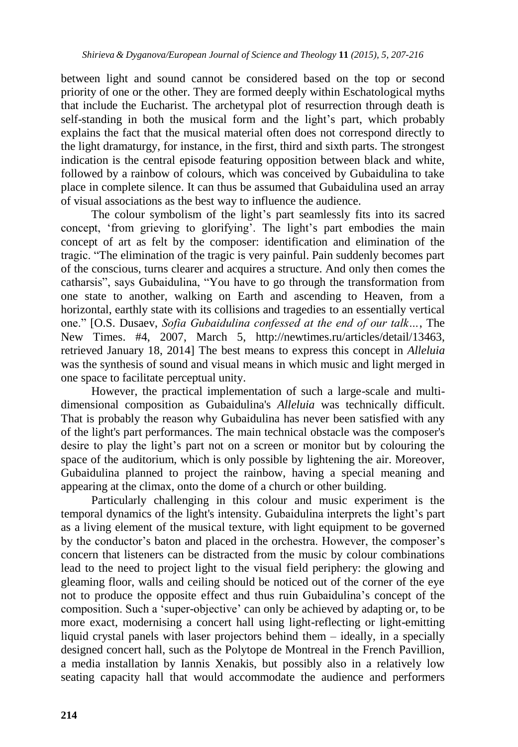between light and sound cannot be considered based on the top or second priority of one or the other. They are formed deeply within Eschatological myths that include the Eucharist. The archetypal plot of resurrection through death is self-standing in both the musical form and the light's part, which probably explains the fact that the musical material often does not correspond directly to the light dramaturgy, for instance, in the first, third and sixth parts. The strongest indication is the central episode featuring opposition between black and white, followed by a rainbow of colours, which was conceived by Gubaidulina to take place in complete silence. It can thus be assumed that Gubaidulina used an array of visual associations as the best way to influence the audience.

The colour symbolism of the light's part seamlessly fits into its sacred concept, 'from grieving to glorifying'. The light's part embodies the main concept of art as felt by the composer: identification and elimination of the tragic. "The elimination of the tragic is very painful. Pain suddenly becomes part of the conscious, turns clearer and acquires a structure. And only then comes the catharsis", says Gubaidulina, "You have to go through the transformation from one state to another, walking on Earth and ascending to Heaven, from a horizontal, earthly state with its collisions and tragedies to an essentially vertical one." [O.S. Dusaev, *Sofia Gubaidulina confessed at the end of our talk…*, The New Times. #4, 2007, March 5, http://newtimes.ru/articles/detail/13463, retrieved January 18, 2014] The best means to express this concept in *Alleluia* was the synthesis of sound and visual means in which music and light merged in one space to facilitate perceptual unity.

However, the practical implementation of such a large-scale and multidimensional composition as Gubaidulina's *Alleluia* was technically difficult. That is probably the reason why Gubaidulina has never been satisfied with any of the light's part performances. The main technical obstacle was the composer's desire to play the light's part not on a screen or monitor but by colouring the space of the auditorium, which is only possible by lightening the air. Moreover, Gubaidulina planned to project the rainbow, having a special meaning and appearing at the climax, onto the dome of a church or other building.

Particularly challenging in this colour and music experiment is the temporal dynamics of the light's intensity. Gubaidulina interprets the light"s part as a living element of the musical texture, with light equipment to be governed by the conductor's baton and placed in the orchestra. However, the composer's concern that listeners can be distracted from the music by colour combinations lead to the need to project light to the visual field periphery: the glowing and gleaming floor, walls and ceiling should be noticed out of the corner of the eye not to produce the opposite effect and thus ruin Gubaidulina"s concept of the composition. Such a "super-objective" can only be achieved by adapting or, to be more exact, modernising a concert hall using light-reflecting or light-emitting liquid crystal panels with laser projectors behind them – ideally, in a specially designed concert hall, such as the Polytope de Montreal in the French Pavillion, a media installation by Iannis Xenakis, but possibly also in a relatively low seating capacity hall that would accommodate the audience and performers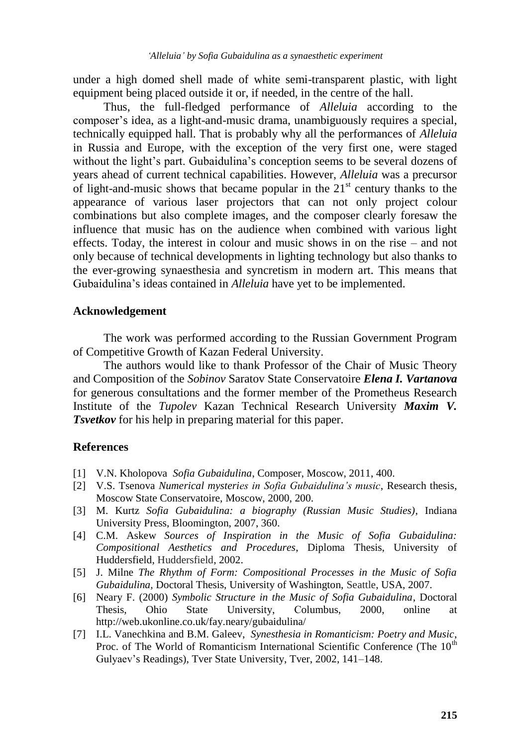under a high domed shell made of white semi-transparent plastic, with light equipment being placed outside it or, if needed, in the centre of the hall.

Thus, the full-fledged performance of *Alleluia* according to the composer"s idea, as a light-and-music drama, unambiguously requires a special, technically equipped hall. That is probably why all the performances of *Alleluia* in Russia and Europe, with the exception of the very first one, were staged without the light's part. Gubaidulina's conception seems to be several dozens of years ahead of current technical capabilities. However, *Alleluia* was a precursor of light-and-music shows that became popular in the  $21<sup>st</sup>$  century thanks to the appearance of various laser projectors that can not only project colour combinations but also complete images, and the composer clearly foresaw the influence that music has on the audience when combined with various light effects. Today, the interest in colour and music shows in on the rise – and not only because of technical developments in lighting technology but also thanks to the ever-growing synaesthesia and syncretism in modern art. This means that Gubaidulina"s ideas contained in *Alleluia* have yet to be implemented.

#### **Acknowledgement**

The work was performed according to the Russian Government Program of Competitive Growth of Kazan Federal University.

The authors would like to thank Professor of the Chair of Music Theory and Composition of the *Sobinov* Saratov State Conservatoire *Elena I. Vartanova* for generous consultations and the former member of the Prometheus Research Institute of the *Tupolev* Kazan Technical Research University *Maxim V. Tsvetkov* for his help in preparing material for this paper.

#### **References**

- [1] V.N. Kholopova *Sofia Gubaidulina*, Composer, Moscow, 2011, 400.
- [2] V.S. Tsenova *Numerical mysteries in Sofia Gubaidulina's music*, Research thesis, Moscow State Conservatoire, Moscow, 2000, 200.
- [3] M. Kurtz *Sofia Gubaidulina: a biography (Russian Music Studies)*, Indiana University Press, Bloomington, 2007, 360.
- [4] C.M. Askew *Sources of Inspiration in the Music of Sofia Gubaidulina: Compositional Aesthetics and Procedures*, Diploma Thesis, University of Huddersfield, Huddersfield, 2002.
- [5] J. Milne *The Rhythm of Form: Compositional Processes in the Music of Sofia Gubaidulina,* Doctoral Thesis, University of Washington, Seattle, USA, 2007.
- [6] Neary F. (2000) *Symbolic Structure in the Music of Sofia Gubaidulina*, Doctoral Thesis, Ohio State University, Сolumbus, 2000, online at http://web.ukonline.co.uk/fay.neary/gubaidulina/
- [7] I.L. Vanechkina and B.M. Galeev, *Synesthesia in Romanticism: Poetry and Music*, Proc. of The World of Romanticism International Scientific Conference (The  $10<sup>th</sup>$ Gulyaev"s Readings), Tver State University, Tver, 2002, 141–148.